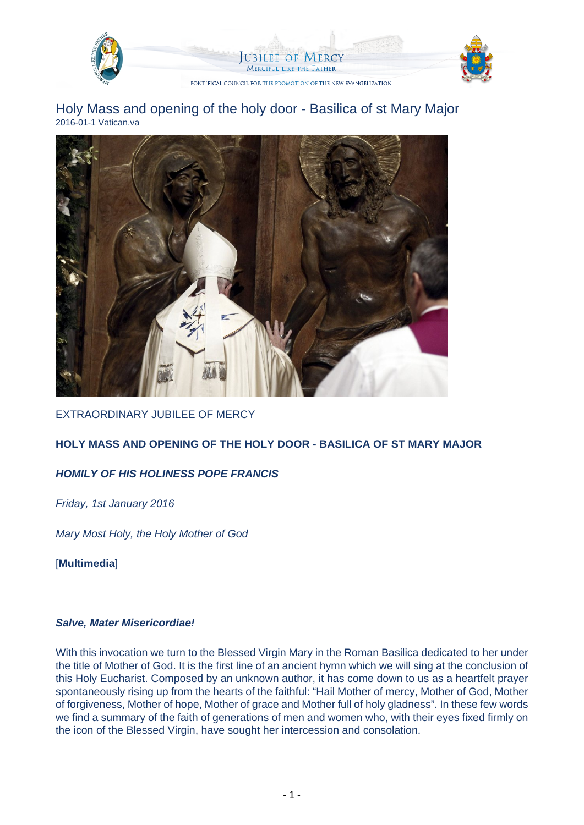

Holy Mass and opening of the holy door - Basilica of st Mary Major 2016-01-1 Vatican.va



EXTRAORDINARY JUBILEE OF MERCY

## **HOLY MASS AND OPENING OF THE HOLY DOOR - BASILICA OF ST MARY MAJOR**

## **HOMILY OF HIS HOLINESS POPE FRANCIS**

Friday, 1st January 2016

Mary Most Holy, the Holy Mother of God

[**Multimedia**]

## **Salve, Mater Misericordiae!**

With this invocation we turn to the Blessed Virgin Mary in the Roman Basilica dedicated to her under the title of Mother of God. It is the first line of an ancient hymn which we will sing at the conclusion of this Holy Eucharist. Composed by an unknown author, it has come down to us as a heartfelt prayer spontaneously rising up from the hearts of the faithful: "Hail Mother of mercy, Mother of God, Mother of forgiveness, Mother of hope, Mother of grace and Mother full of holy gladness". In these few words we find a summary of the faith of generations of men and women who, with their eyes fixed firmly on the icon of the Blessed Virgin, have sought her intercession and consolation.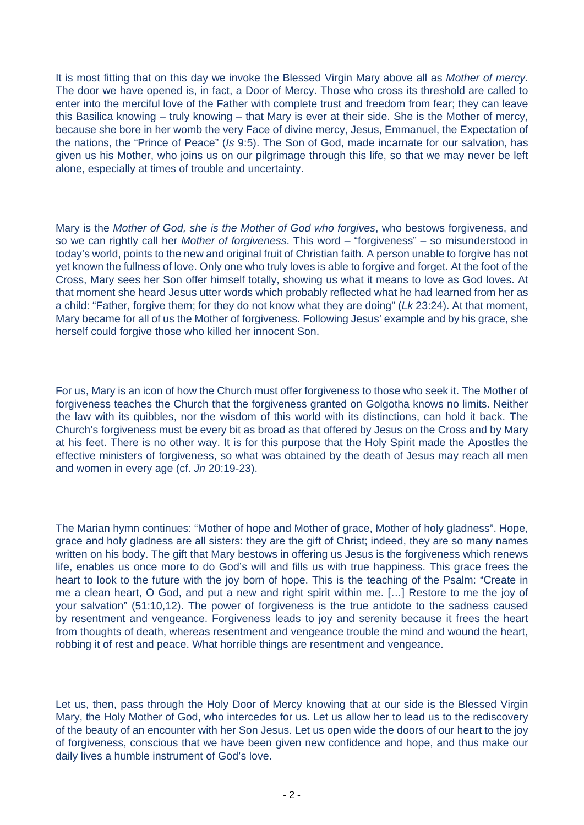It is most fitting that on this day we invoke the Blessed Virgin Mary above all as Mother of mercy. The door we have opened is, in fact, a Door of Mercy. Those who cross its threshold are called to enter into the merciful love of the Father with complete trust and freedom from fear; they can leave this Basilica knowing – truly knowing – that Mary is ever at their side. She is the Mother of mercy, because she bore in her womb the very Face of divine mercy, Jesus, Emmanuel, the Expectation of the nations, the "Prince of Peace" (Is 9:5). The Son of God, made incarnate for our salvation, has given us his Mother, who joins us on our pilgrimage through this life, so that we may never be left alone, especially at times of trouble and uncertainty.

Mary is the Mother of God, she is the Mother of God who forgives, who bestows forgiveness, and so we can rightly call her Mother of forgiveness. This word – "forgiveness" – so misunderstood in today's world, points to the new and original fruit of Christian faith. A person unable to forgive has not yet known the fullness of love. Only one who truly loves is able to forgive and forget. At the foot of the Cross, Mary sees her Son offer himself totally, showing us what it means to love as God loves. At that moment she heard Jesus utter words which probably reflected what he had learned from her as a child: "Father, forgive them; for they do not know what they are doing" (Lk 23:24). At that moment, Mary became for all of us the Mother of forgiveness. Following Jesus' example and by his grace, she herself could forgive those who killed her innocent Son.

For us, Mary is an icon of how the Church must offer forgiveness to those who seek it. The Mother of forgiveness teaches the Church that the forgiveness granted on Golgotha knows no limits. Neither the law with its quibbles, nor the wisdom of this world with its distinctions, can hold it back. The Church's forgiveness must be every bit as broad as that offered by Jesus on the Cross and by Mary at his feet. There is no other way. It is for this purpose that the Holy Spirit made the Apostles the effective ministers of forgiveness, so what was obtained by the death of Jesus may reach all men and women in every age (cf. Jn 20:19-23).

The Marian hymn continues: "Mother of hope and Mother of grace, Mother of holy gladness". Hope, grace and holy gladness are all sisters: they are the gift of Christ; indeed, they are so many names written on his body. The gift that Mary bestows in offering us Jesus is the forgiveness which renews life, enables us once more to do God's will and fills us with true happiness. This grace frees the heart to look to the future with the joy born of hope. This is the teaching of the Psalm: "Create in me a clean heart, O God, and put a new and right spirit within me. […] Restore to me the joy of your salvation" (51:10,12). The power of forgiveness is the true antidote to the sadness caused by resentment and vengeance. Forgiveness leads to joy and serenity because it frees the heart from thoughts of death, whereas resentment and vengeance trouble the mind and wound the heart, robbing it of rest and peace. What horrible things are resentment and vengeance.

Let us, then, pass through the Holy Door of Mercy knowing that at our side is the Blessed Virgin Mary, the Holy Mother of God, who intercedes for us. Let us allow her to lead us to the rediscovery of the beauty of an encounter with her Son Jesus. Let us open wide the doors of our heart to the joy of forgiveness, conscious that we have been given new confidence and hope, and thus make our daily lives a humble instrument of God's love.